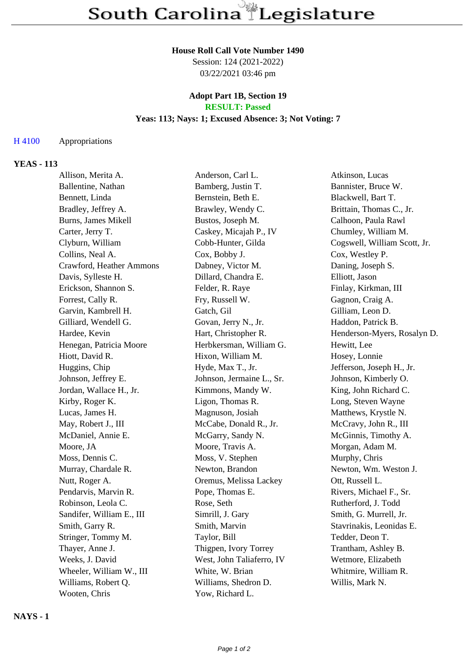#### **House Roll Call Vote Number 1490**

Session: 124 (2021-2022) 03/22/2021 03:46 pm

#### **Adopt Part 1B, Section 19 RESULT: Passed**

#### **Yeas: 113; Nays: 1; Excused Absence: 3; Not Voting: 7**

## H 4100 Appropriations

## **YEAS - 113**

| Allison, Merita A.        | Anderson, Carl L.         | Atkinson, Lucas              |
|---------------------------|---------------------------|------------------------------|
| Ballentine, Nathan        | Bamberg, Justin T.        | Bannister, Bruce W.          |
| Bennett, Linda            | Bernstein, Beth E.        | Blackwell, Bart T.           |
| Bradley, Jeffrey A.       | Brawley, Wendy C.         | Brittain, Thomas C., Jr.     |
| Burns, James Mikell       | Bustos, Joseph M.         | Calhoon, Paula Rawl          |
| Carter, Jerry T.          | Caskey, Micajah P., IV    | Chumley, William M.          |
| Clyburn, William          | Cobb-Hunter, Gilda        | Cogswell, William Scott, Jr. |
| Collins, Neal A.          | Cox, Bobby J.             | Cox, Westley P.              |
| Crawford, Heather Ammons  | Dabney, Victor M.         | Daning, Joseph S.            |
| Davis, Sylleste H.        | Dillard, Chandra E.       | Elliott, Jason               |
| Erickson, Shannon S.      | Felder, R. Raye           | Finlay, Kirkman, III         |
| Forrest, Cally R.         | Fry, Russell W.           | Gagnon, Craig A.             |
| Garvin, Kambrell H.       | Gatch, Gil                | Gilliam, Leon D.             |
| Gilliard, Wendell G.      | Govan, Jerry N., Jr.      | Haddon, Patrick B.           |
| Hardee, Kevin             | Hart, Christopher R.      | Henderson-Myers, Rosalyn D.  |
| Henegan, Patricia Moore   | Herbkersman, William G.   | Hewitt, Lee                  |
| Hiott, David R.           | Hixon, William M.         | Hosey, Lonnie                |
| Huggins, Chip             | Hyde, Max T., Jr.         | Jefferson, Joseph H., Jr.    |
| Johnson, Jeffrey E.       | Johnson, Jermaine L., Sr. | Johnson, Kimberly O.         |
| Jordan, Wallace H., Jr.   | Kimmons, Mandy W.         | King, John Richard C.        |
| Kirby, Roger K.           | Ligon, Thomas R.          | Long, Steven Wayne           |
| Lucas, James H.           | Magnuson, Josiah          | Matthews, Krystle N.         |
| May, Robert J., III       | McCabe, Donald R., Jr.    | McCravy, John R., III        |
| McDaniel, Annie E.        | McGarry, Sandy N.         | McGinnis, Timothy A.         |
| Moore, JA                 | Moore, Travis A.          | Morgan, Adam M.              |
| Moss, Dennis C.           | Moss, V. Stephen          | Murphy, Chris                |
| Murray, Chardale R.       | Newton, Brandon           | Newton, Wm. Weston J.        |
| Nutt, Roger A.            | Oremus, Melissa Lackey    | Ott, Russell L.              |
| Pendarvis, Marvin R.      | Pope, Thomas E.           | Rivers, Michael F., Sr.      |
| Robinson, Leola C.        | Rose, Seth                | Rutherford, J. Todd          |
| Sandifer, William E., III | Simrill, J. Gary          | Smith, G. Murrell, Jr.       |
| Smith, Garry R.           | Smith, Marvin             | Stavrinakis, Leonidas E.     |
| Stringer, Tommy M.        | Taylor, Bill              | Tedder, Deon T.              |
| Thayer, Anne J.           | Thigpen, Ivory Torrey     | Trantham, Ashley B.          |
| Weeks, J. David           | West, John Taliaferro, IV | Wetmore, Elizabeth           |
| Wheeler, William W., III  | White, W. Brian           | Whitmire, William R.         |
| Williams, Robert Q.       | Williams, Shedron D.      | Willis, Mark N.              |
| Wooten, Chris             | Yow, Richard L.           |                              |